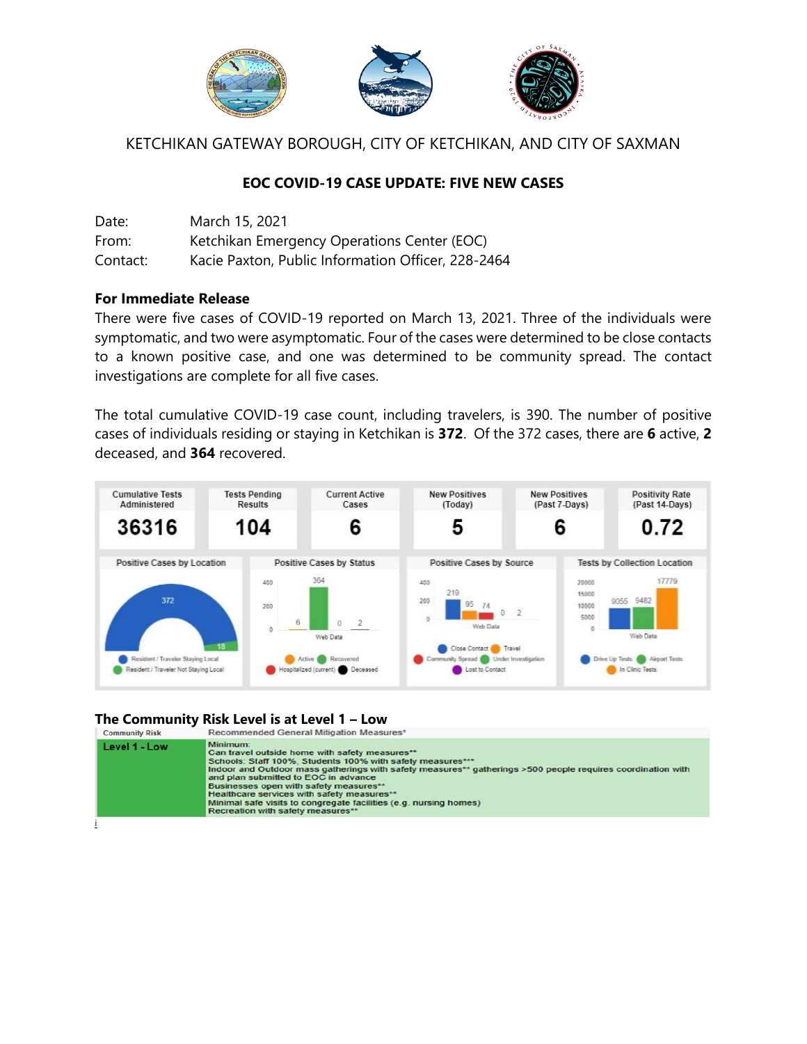

KETCHIKAN GATEWAY BOROUGH, CITY OF KETCHIKAN, AND CITY OF SAXMAN

## **EOC COVID-19 CASE UPDATE: FIVE NEW CASES**

| Date:    | March 15, 2021                                     |
|----------|----------------------------------------------------|
| From:    | Ketchikan Emergency Operations Center (EOC)        |
| Contact: | Kacie Paxton, Public Information Officer, 228-2464 |

## **For Immediate Release**

There were five cases of COVID-19 reported on March 13, 2021. Three of the individuals were symptomatic, and two were asymptomatic. Four of the cases were determined to be close contacts to a known positive case, and one was determined to be community spread. The contact investigations are complete for all five cases.

The total cumulative COVID-19 case count, including travelers, is 390. The number of positive cases of individuals residing or staying in Ketchikan is **372**. Of the 372 cases, there are **6** active, **2** deceased, and **364** recovered.



## **The Community Risk Level is at Level 1 – Low**